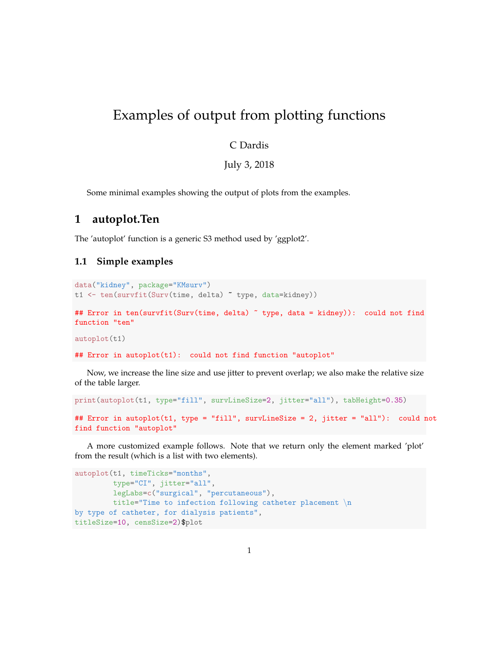# Examples of output from plotting functions

### C Dardis

July 3, 2018

Some minimal examples showing the output of plots from the examples.

### **1 autoplot.Ten**

The 'autoplot' function is a generic S3 method used by 'ggplot2'.

#### **1.1 Simple examples**

```
data("kidney", package="KMsurv")
t1 <- ten(survfit(Surv(time, delta) ~ type, data=kidney))
## Error in ten(survfit(Surv(time, delta) ~ type, data = kidney)): could not find
function "ten"
autoplot(t1)
```

```
## Error in autoplot(t1): could not find function "autoplot"
```
Now, we increase the line size and use jitter to prevent overlap; we also make the relative size of the table larger.

```
print(autoplot(t1, type="fill", survLineSize=2, jitter="all"), tabHeight=0.35)
```

```
## Error in autoplot(t1, type = "fill", survLineSize = 2, jitter = "all"): could not
find function "autoplot"
```
A more customized example follows. Note that we return only the element marked 'plot' from the result (which is a list with two elements).

```
autoplot(t1, timeTicks="months",
        type="CI", jitter="all",
        legLabs=c("surgical", "percutaneous"),
        title="Time to infection following catheter placement \n
by type of catheter, for dialysis patients",
titleSize=10, censSize=2)$plot
```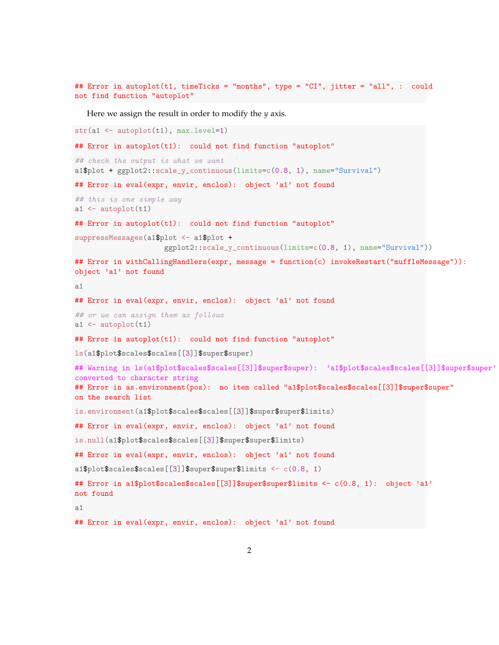```
## Error in autoplot(t1, timeTicks = "months", type = "CI", jitter = "all", : could
not find function "autoplot"
```
Here we assign the result in order to modify the *y* axis.

```
str(a1 <- autoplot(t1), max.level=1)
## Error in autoplot(t1): could not find function "autoplot"
## check the output is what we want
a1$plot + ggplot2::scale_y_continuous(limits=c(0.8, 1), name="Survival")
## Error in eval (expr, envir, enclos): object 'a1' not found
## this is one simple way
a1 \leftarrow autoplot(t1)## Error in autoplot(t1): could not find function "autoplot"
suppressMessages(a1$plot <- a1$plot +
                     ggplot2::scale_y_continuous(limits=c(0.8, 1), name="Survival"))
## Error in withCallingHandlers(expr, message = function(c) invokeRestart("muffleMessage")):
object 'a1' not found
a1
## Error in eval(expr, envir, enclos): object 'a1' not found
## or we can assign them as follows
a1 \leftarrow autoplot(t1)## Error in autoplot(t1): could not find function "autoplot"
ls(a1$plot$scales$scales[[3]]$super$super)
## Warning in ls(a1$plot$scales$scales[[3]]$super$super): 'a1$plot$scales$scales[[3]]$super$super'
converted to character string
## Error in as.environment(pos): no item called "a1$plot$scales$scales[[3]]$super$super"
on the search list
is.environment(a1$plot$scales$scales[[3]]$super$super$limits)
## Error in eval(expr, envir, enclos): object 'a1' not found
is.null(a1$plot$scales$scales[[3]]$super$super$limits)
## Error in eval (expr, envir, enclos): object 'a1' not found
a1$plot$scales$scales[[3]]$super$super$limits <- c(0.8, 1)
## Error in a1$plot$scales$scales[[3]]$super$super$limits <- c(0.8, 1): object 'a1'
not found
a1
## Error in eval(expr, envir, enclos): object 'a1' not found
```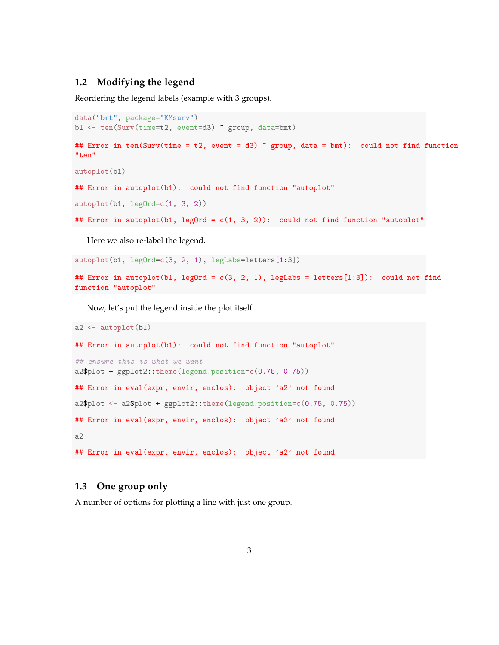#### **1.2 Modifying the legend**

Reordering the legend labels (example with 3 groups).

```
data("bmt", package="KMsurv")
b1 <- ten(Surv(time=t2, event=d3) ~ group, data=bmt)
## Error in ten(Surv(time = t2, event = d3) \degree group, data = bmt): could not find function
"ten"
autoplot(b1)
## Error in autoplot(b1): could not find function "autoplot"
autoplot(b1, legOrd=c(1, 3, 2))## Error in autoplot(b1, leg0rd = c(1, 3, 2)): could not find function "autoplot"
  Here we also re-label the legend.
```
autoplot(b1, legOrd=c(3, 2, 1), legLabs=letters[1:3])

```
## Error in autoplot(b1, legOrd = c(3, 2, 1), legLabs = letters[1:3]): could not find
function "autoplot"
```
Now, let's put the legend inside the plot itself.

```
a2 \leftarrow \text{autoplot}(b1)## Error in autoplot(b1): could not find function "autoplot"
## ensure this is what we want
a2$plot + ggplot2::theme(legend.position=c(0.75, 0.75))
## Error in eval (expr, envir, enclos): object 'a2' not found
a2$plot <- a2$plot + ggplot2::theme(legend.position=c(0.75, 0.75))
## Error in eval (expr, envir, enclos): object 'a2' not found
a2
## Error in eval (expr, envir, enclos): object 'a2' not found
```
#### **1.3 One group only**

A number of options for plotting a line with just one group.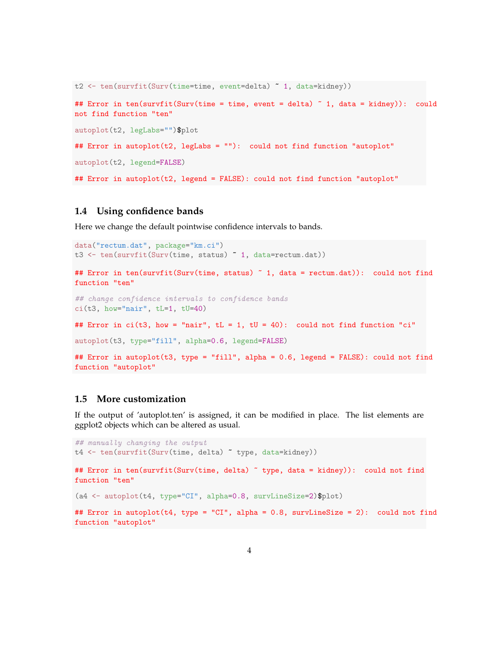```
t2 <- ten(survfit(Surv(time=time, event=delta) ~ 1, data=kidney))
## Error in ten(survfit(Surv(time = time, event = delta) \tilde{ } 1, data = kidney)): could
not find function "ten"
autoplot(t2, legLabs="")$plot
## Error in autoplot(t2, legLabs = ""): could not find function "autoplot"
autoplot(t2, legend=FALSE)
## Error in autoplot(t2, legend = FALSE): could not find function "autoplot"
```
#### **1.4 Using confidence bands**

Here we change the default pointwise confidence intervals to bands.

```
data("rectum.dat", package="km.ci")
t3 <- ten(survfit(Surv(time, status) ~ 1, data=rectum.dat))
## Error in ten(survfit(Surv(time, status) ~ 1, data = rectum.dat)): could not find
function "ten"
## change confidence intervals to confidence bands
ci(t3, how="nair", tl=1, tU=40)## Error in ci(t3, how = "nair", tL = 1, tU = 40): could not find function "ci"
autoplot(t3, type="fill", alpha=0.6, legend=FALSE)
## Error in autoplot(t3, type = "fill", alpha = 0.6, legend = FALSE): could not find
function "autoplot"
```
### **1.5 More customization**

If the output of 'autoplot.ten' is assigned, it can be modified in place. The list elements are ggplot2 objects which can be altered as usual.

```
## manually changing the output
t4 <- ten(survfit(Surv(time, delta) ~ type, data=kidney))
## Error in ten(survfit(Surv(time, delta) ~ type, data = kidney)): could not find
function "ten"
(a4 <- autoplot(t4, type="CI", alpha=0.8, survLineSize=2)$plot)
## Error in autoplot(t4, type = "CI", alpha = 0.8, survLineSize = 2): could not find
function "autoplot"
```